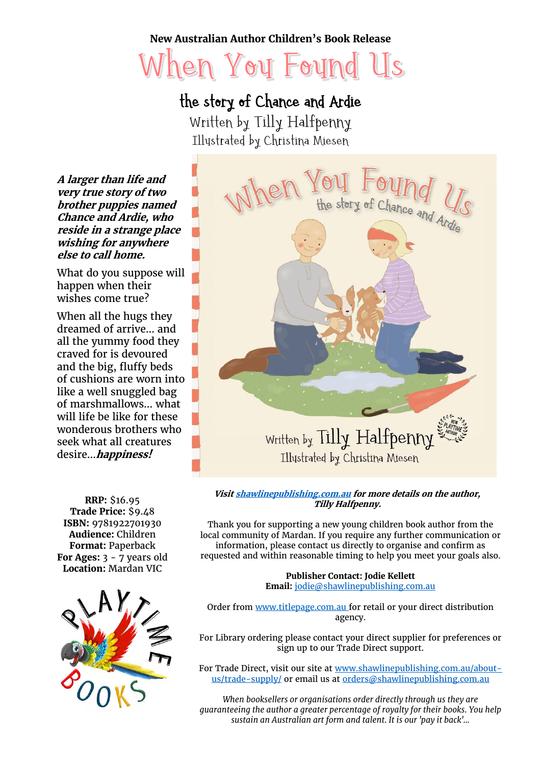### **New Australian Author Children's Book Release**

# Vhen Yoy Foynd  $\begin{array}{c} \hline \end{array}$

# the story of Chance and Ardie

Written by Tilly Halfpenny Illustrated by Christina Miesen

**A larger than life and very true story of two brother puppies named Chance and Ardie, who reside in a strange place wishing for anywhere else to call home.**

What do you suppose will happen when their wishes come true?

When all the hugs they dreamed of arrive… and all the yummy food they craved for is devoured and the big, fluffy beds of cushions are worn into like a well snuggled bag of marshmallows… what will life be like for these wonderous brothers who seek what all creatures desire…**happiness!**

**RRP:** \$16.95 **Trade Price:** \$9.48 **ISBN:** 9781922701930 **Audience:** Children **Format:** Paperback **For Ages:** 3 - 7 years old **Location:** Mardan VIC





**Visi[t shawlinepublishing.com.au](https://www.shawlinepublishing.com.au/our-titles/childrens-books/display/175-when-you-found-us) for more details on the author, Tilly Halfpenny.**

Thank you for supporting a new young children book author from the local community of Mardan. If you require any further communication or information, please contact us directly to organise and confirm as requested and within reasonable timing to help you meet your goals also.

> **Publisher Contact: Jodie Kellett Email:** [jodie@shawlinepublishing.com.au](mailto:jodie@shawlinepublishing.com.au)

Order from [www.titlepage.com.au](http://www.titlepage.com.au/) for retail or your direct distribution agency.

For Library ordering please contact your direct supplier for preferences or sign up to our Trade Direct support.

For Trade Direct, visit our site at [www.shawlinepublishing.com.au/about](http://www.shawlinepublishing.com.au/about-us/trade-supply/)[us/trade-supply/](http://www.shawlinepublishing.com.au/about-us/trade-supply/) or email us at [orders@shawlinepublishing.com.au](mailto:orders@shawlinepublishing.com.au)

*When booksellers or organisations order directly through us they are guaranteeing the author a greater percentage of royalty for their books. You help sustain an Australian art form and talent. It is our 'pay it back'...*